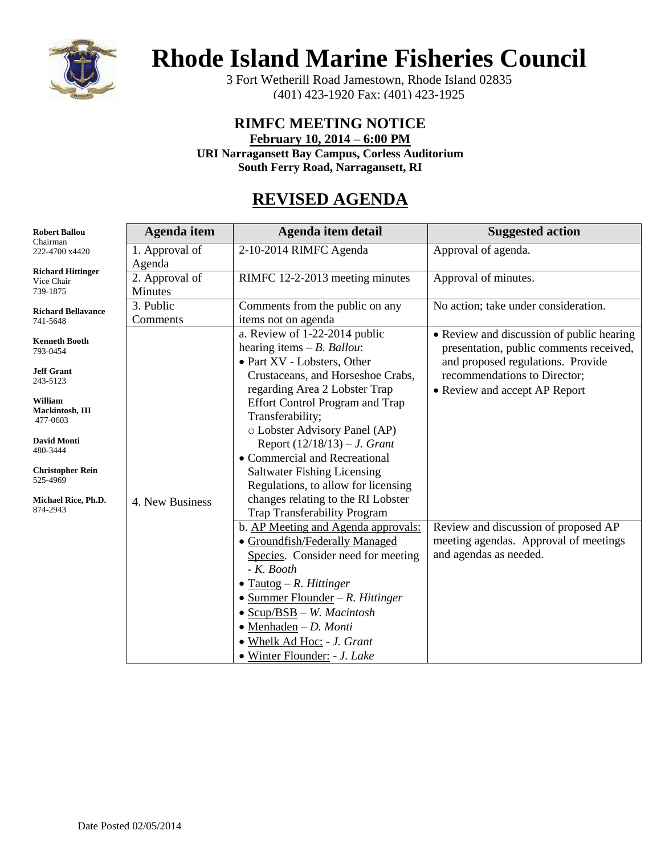

## **Rhode Island Marine Fisheries Council**

3 Fort Wetherill Road Jamestown, Rhode Island 02835 (401) 423-1920 Fax: (401) 423-1925

### **RIMFC MEETING NOTICE**

**February 10, 2014 – 6:00 PM**

**URI Narragansett Bay Campus, Corless Auditorium**

**South Ferry Road, Narragansett, RI**

## **REVISED AGENDA**

| <b>Robert Ballou</b><br>Chairman                   | Agenda item               | Agenda item detail                                                                                                                                                                                                                                                                                                                            | <b>Suggested action</b>                                                                                                   |
|----------------------------------------------------|---------------------------|-----------------------------------------------------------------------------------------------------------------------------------------------------------------------------------------------------------------------------------------------------------------------------------------------------------------------------------------------|---------------------------------------------------------------------------------------------------------------------------|
| 222-4700 x4420                                     | 1. Approval of<br>Agenda  | 2-10-2014 RIMFC Agenda                                                                                                                                                                                                                                                                                                                        | Approval of agenda.                                                                                                       |
| <b>Richard Hittinger</b><br>Vice Chair<br>739-1875 | 2. Approval of<br>Minutes | RIMFC 12-2-2013 meeting minutes                                                                                                                                                                                                                                                                                                               | Approval of minutes.                                                                                                      |
| <b>Richard Bellavance</b><br>741-5648              | 3. Public<br>Comments     | Comments from the public on any<br>items not on agenda                                                                                                                                                                                                                                                                                        | No action; take under consideration.                                                                                      |
| <b>Kenneth Booth</b><br>793-0454                   |                           | a. Review of 1-22-2014 public<br>hearing items $-B.$ Ballou:<br>• Part XV - Lobsters, Other                                                                                                                                                                                                                                                   | • Review and discussion of public hearing<br>presentation, public comments received,<br>and proposed regulations. Provide |
| <b>Jeff Grant</b><br>243-5123                      |                           | Crustaceans, and Horseshoe Crabs,<br>regarding Area 2 Lobster Trap                                                                                                                                                                                                                                                                            | recommendations to Director;<br>• Review and accept AP Report                                                             |
| William<br>Mackintosh, III<br>477-0603             |                           | <b>Effort Control Program and Trap</b><br>Transferability;<br>o Lobster Advisory Panel (AP)                                                                                                                                                                                                                                                   |                                                                                                                           |
| <b>David Monti</b><br>480-3444                     |                           | Report $(12/18/13) - J$ . Grant<br>• Commercial and Recreational                                                                                                                                                                                                                                                                              |                                                                                                                           |
| <b>Christopher Rein</b><br>525-4969                |                           | <b>Saltwater Fishing Licensing</b><br>Regulations, to allow for licensing                                                                                                                                                                                                                                                                     |                                                                                                                           |
| Michael Rice, Ph.D.<br>874-2943                    | 4. New Business           | changes relating to the RI Lobster<br>Trap Transferability Program                                                                                                                                                                                                                                                                            |                                                                                                                           |
|                                                    |                           | b. AP Meeting and Agenda approvals:<br>• Groundfish/Federally Managed<br>Species. Consider need for meeting<br>$-K.$ Booth<br>$\bullet$ Tautog – R. Hittinger<br>$\bullet$ Summer Flounder – R. Hittinger<br>$\bullet$ Scup/BSB – W. Macintosh<br>$\bullet$ Menhaden - D. Monti<br>· Whelk Ad Hoc: - J. Grant<br>• Winter Flounder: - J. Lake | Review and discussion of proposed AP<br>meeting agendas. Approval of meetings<br>and agendas as needed.                   |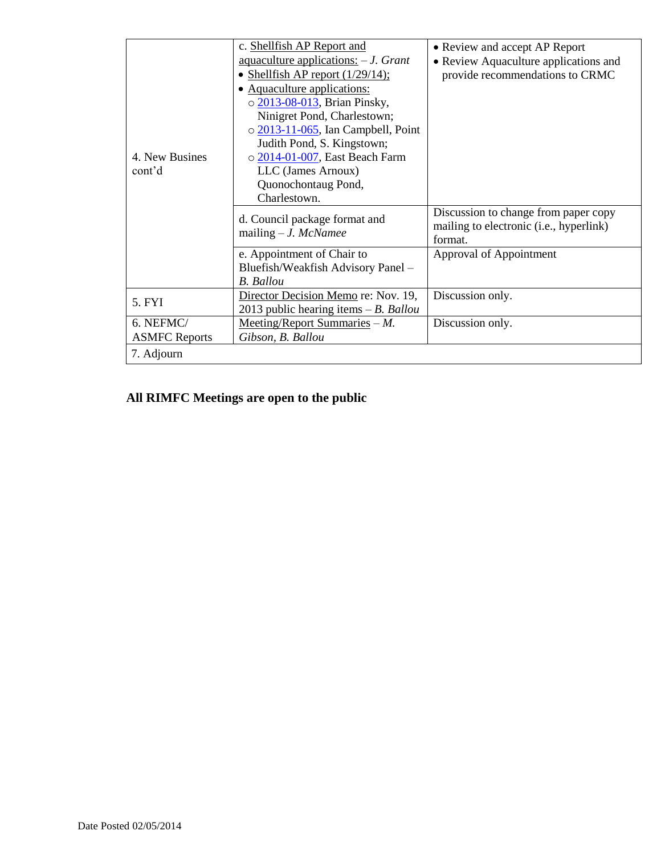|                      | c. Shellfish AP Report and               | • Review and accept AP Report           |
|----------------------|------------------------------------------|-----------------------------------------|
|                      | aquaculture applications: $-J. Grant$    | • Review Aquaculture applications and   |
|                      | • Shellfish AP report $(1/29/14)$ ;      | provide recommendations to CRMC         |
|                      | Aquaculture applications:                |                                         |
|                      | o 2013-08-013, Brian Pinsky,             |                                         |
|                      | Ninigret Pond, Charlestown;              |                                         |
|                      | $\circ$ 2013-11-065, Ian Campbell, Point |                                         |
|                      | Judith Pond, S. Kingstown;               |                                         |
| 4. New Busines       | o 2014-01-007, East Beach Farm           |                                         |
| cont'd               | LLC (James Arnoux)                       |                                         |
|                      | Quonochontaug Pond,                      |                                         |
|                      | Charlestown.                             |                                         |
|                      | d. Council package format and            | Discussion to change from paper copy    |
|                      | mailing $-J.$ McNamee                    | mailing to electronic (i.e., hyperlink) |
|                      |                                          | format.                                 |
|                      | e. Appointment of Chair to               | Approval of Appointment                 |
|                      | Bluefish/Weakfish Advisory Panel -       |                                         |
|                      | <b>B.</b> Ballou                         |                                         |
| 5. FYI               | Director Decision Memo re: Nov. 19,      | Discussion only.                        |
|                      | 2013 public hearing items $-B$ . Ballou  |                                         |
| 6. NEFMC/            | Meeting/Report Summaries $-M$ .          | Discussion only.                        |
| <b>ASMFC Reports</b> | Gibson, B. Ballou                        |                                         |
| 7. Adjourn           |                                          |                                         |

**All RIMFC Meetings are open to the public**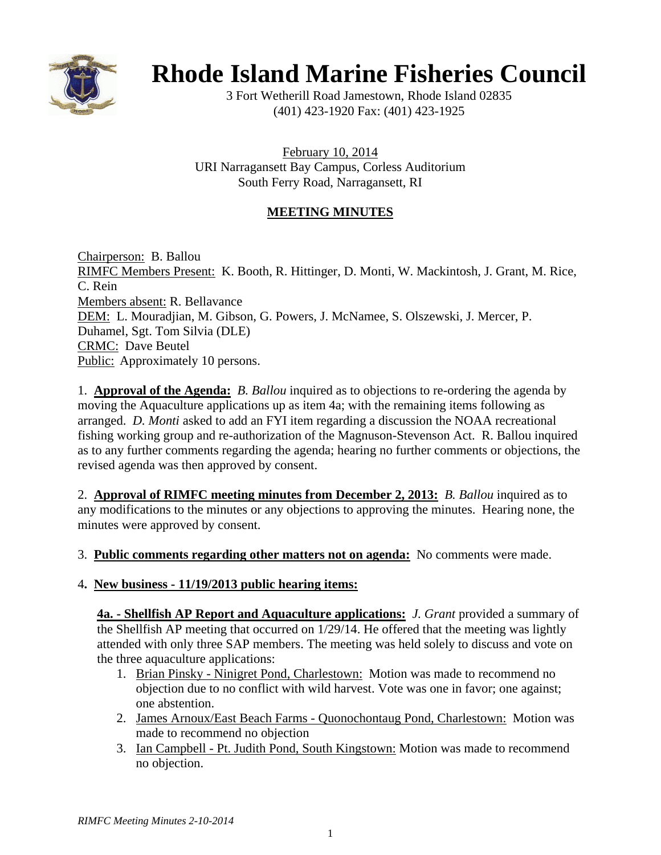

# **Rhode Island Marine Fisheries Council**

3 Fort Wetherill Road Jamestown, Rhode Island 02835 (401) 423-1920 Fax: (401) 423-1925

February 10, 2014 URI Narragansett Bay Campus, Corless Auditorium South Ferry Road, Narragansett, RI

#### **MEETING MINUTES**

Chairperson: B. Ballou RIMFC Members Present: K. Booth, R. Hittinger, D. Monti, W. Mackintosh, J. Grant, M. Rice, C. Rein Members absent: R. Bellavance DEM: L. Mouradjian, M. Gibson, G. Powers, J. McNamee, S. Olszewski, J. Mercer, P. Duhamel, Sgt. Tom Silvia (DLE) CRMC: Dave Beutel Public: Approximately 10 persons.

1. **Approval of the Agenda:** *B. Ballou* inquired as to objections to re-ordering the agenda by moving the Aquaculture applications up as item 4a; with the remaining items following as arranged. *D. Monti* asked to add an FYI item regarding a discussion the NOAA recreational fishing working group and re-authorization of the Magnuson-Stevenson Act. R. Ballou inquired as to any further comments regarding the agenda; hearing no further comments or objections, the revised agenda was then approved by consent.

2. **Approval of RIMFC meeting minutes from December 2, 2013:** *B. Ballou* inquired as to any modifications to the minutes or any objections to approving the minutes. Hearing none, the minutes were approved by consent.

3. **Public comments regarding other matters not on agenda:** No comments were made.

#### 4**. New business - 11/19/2013 public hearing items:**

**4a. - Shellfish AP Report and Aquaculture applications:** *J. Grant* provided a summary of the Shellfish AP meeting that occurred on 1/29/14. He offered that the meeting was lightly attended with only three SAP members. The meeting was held solely to discuss and vote on the three aquaculture applications:

- 1. Brian Pinsky Ninigret Pond, Charlestown: Motion was made to recommend no objection due to no conflict with wild harvest. Vote was one in favor; one against; one abstention.
- 2. James Arnoux/East Beach Farms Quonochontaug Pond, Charlestown: Motion was made to recommend no objection
- 3. Ian Campbell Pt. Judith Pond, South Kingstown: Motion was made to recommend no objection.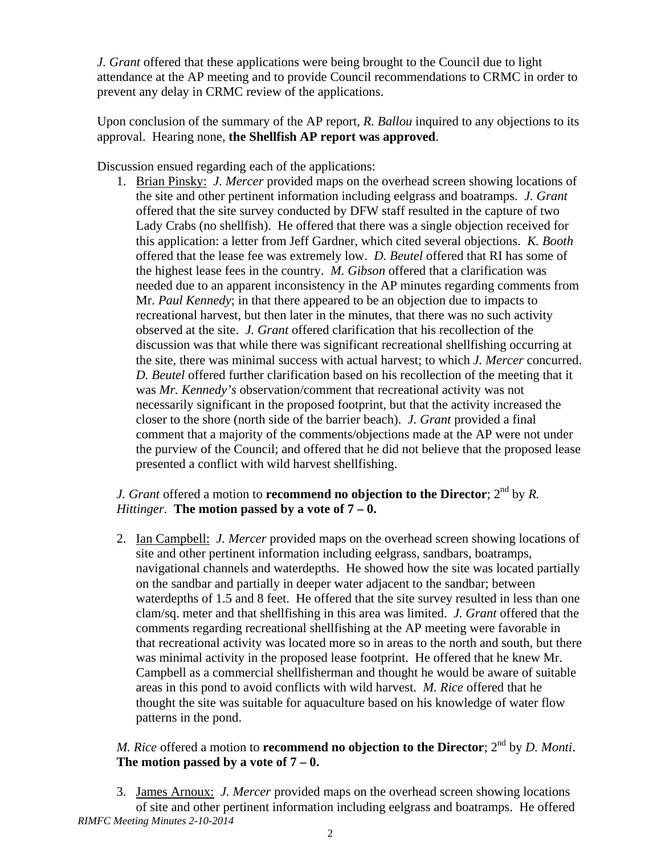*J. Grant* offered that these applications were being brought to the Council due to light attendance at the AP meeting and to provide Council recommendations to CRMC in order to prevent any delay in CRMC review of the applications.

Upon conclusion of the summary of the AP report, *R. Ballou* inquired to any objections to its approval. Hearing none, **the Shellfish AP report was approved**.

Discussion ensued regarding each of the applications:

1. Brian Pinsky: *J. Mercer* provided maps on the overhead screen showing locations of the site and other pertinent information including eelgrass and boatramps. *J. Grant* offered that the site survey conducted by DFW staff resulted in the capture of two Lady Crabs (no shellfish). He offered that there was a single objection received for this application: a letter from Jeff Gardner, which cited several objections. *K. Booth* offered that the lease fee was extremely low. *D. Beutel* offered that RI has some of the highest lease fees in the country. *M. Gibson* offered that a clarification was needed due to an apparent inconsistency in the AP minutes regarding comments from Mr. *Paul Kennedy*; in that there appeared to be an objection due to impacts to recreational harvest, but then later in the minutes, that there was no such activity observed at the site. *J. Grant* offered clarification that his recollection of the discussion was that while there was significant recreational shellfishing occurring at the site, there was minimal success with actual harvest; to which *J. Mercer* concurred. *D. Beutel* offered further clarification based on his recollection of the meeting that it was *Mr. Kennedy's* observation/comment that recreational activity was not necessarily significant in the proposed footprint, but that the activity increased the closer to the shore (north side of the barrier beach). *J. Grant* provided a final comment that a majority of the comments/objections made at the AP were not under the purview of the Council; and offered that he did not believe that the proposed lease presented a conflict with wild harvest shellfishing.

#### *J. Grant* offered a motion to **recommend no objection to the Director**;  $2^{nd}$  by *R*. *Hittinger*. **The motion passed by a vote of 7 – 0.**

2. Ian Campbell: *J. Mercer* provided maps on the overhead screen showing locations of site and other pertinent information including eelgrass, sandbars, boatramps, navigational channels and waterdepths. He showed how the site was located partially on the sandbar and partially in deeper water adjacent to the sandbar; between waterdepths of 1.5 and 8 feet. He offered that the site survey resulted in less than one clam/sq. meter and that shellfishing in this area was limited. *J. Grant* offered that the comments regarding recreational shellfishing at the AP meeting were favorable in that recreational activity was located more so in areas to the north and south, but there was minimal activity in the proposed lease footprint. He offered that he knew Mr. Campbell as a commercial shellfisherman and thought he would be aware of suitable areas in this pond to avoid conflicts with wild harvest. *M. Rice* offered that he thought the site was suitable for aquaculture based on his knowledge of water flow patterns in the pond.

#### *M. Rice* offered a motion to **recommend no objection to the Director**; 2<sup>nd</sup> by *D. Monti*. **The motion passed by a vote of 7 – 0.**

*RIMFC Meeting Minutes 2-10-2014*  3. James Arnoux: *J. Mercer* provided maps on the overhead screen showing locations of site and other pertinent information including eelgrass and boatramps. He offered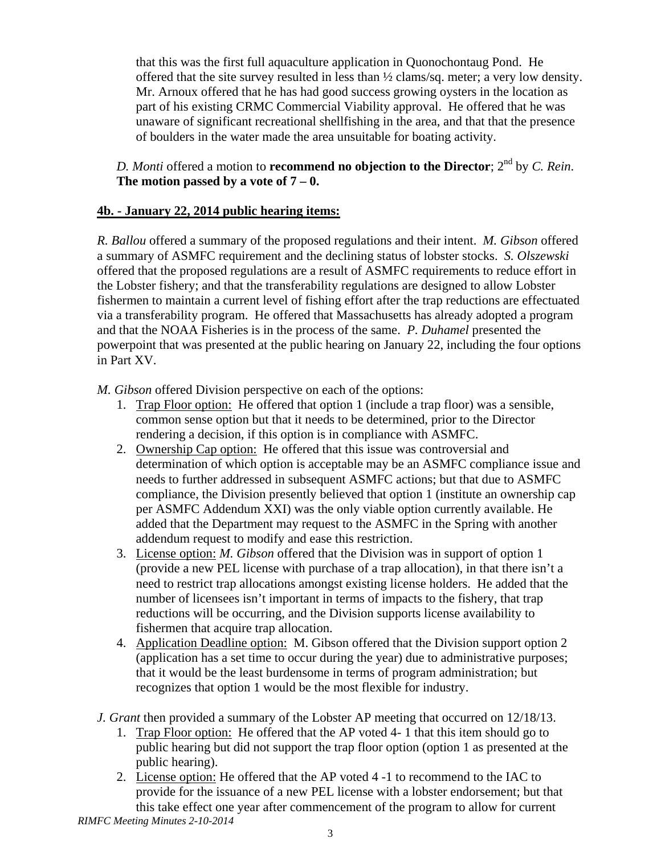that this was the first full aquaculture application in Quonochontaug Pond. He offered that the site survey resulted in less than ½ clams/sq. meter; a very low density. Mr. Arnoux offered that he has had good success growing oysters in the location as part of his existing CRMC Commercial Viability approval. He offered that he was unaware of significant recreational shellfishing in the area, and that that the presence of boulders in the water made the area unsuitable for boating activity.

#### *D. Monti* offered a motion to **recommend no objection to the Director**; 2nd by *C. Rein*. **The motion passed by a vote of 7 – 0.**

#### **4b. - January 22, 2014 public hearing items:**

*R. Ballou* offered a summary of the proposed regulations and their intent. *M. Gibson* offered a summary of ASMFC requirement and the declining status of lobster stocks. *S. Olszewski* offered that the proposed regulations are a result of ASMFC requirements to reduce effort in the Lobster fishery; and that the transferability regulations are designed to allow Lobster fishermen to maintain a current level of fishing effort after the trap reductions are effectuated via a transferability program. He offered that Massachusetts has already adopted a program and that the NOAA Fisheries is in the process of the same. *P. Duhamel* presented the powerpoint that was presented at the public hearing on January 22, including the four options in Part XV.

*M. Gibson* offered Division perspective on each of the options:

- 1. Trap Floor option: He offered that option 1 (include a trap floor) was a sensible, common sense option but that it needs to be determined, prior to the Director rendering a decision, if this option is in compliance with ASMFC.
- 2. Ownership Cap option: He offered that this issue was controversial and determination of which option is acceptable may be an ASMFC compliance issue and needs to further addressed in subsequent ASMFC actions; but that due to ASMFC compliance, the Division presently believed that option 1 (institute an ownership cap per ASMFC Addendum XXI) was the only viable option currently available. He added that the Department may request to the ASMFC in the Spring with another addendum request to modify and ease this restriction.
- 3. License option: *M. Gibson* offered that the Division was in support of option 1 (provide a new PEL license with purchase of a trap allocation), in that there isn't a need to restrict trap allocations amongst existing license holders. He added that the number of licensees isn't important in terms of impacts to the fishery, that trap reductions will be occurring, and the Division supports license availability to fishermen that acquire trap allocation.
- 4. Application Deadline option: M. Gibson offered that the Division support option 2 (application has a set time to occur during the year) due to administrative purposes; that it would be the least burdensome in terms of program administration; but recognizes that option 1 would be the most flexible for industry.
- *J. Grant* then provided a summary of the Lobster AP meeting that occurred on 12/18/13.
	- 1. Trap Floor option: He offered that the AP voted 4- 1 that this item should go to public hearing but did not support the trap floor option (option 1 as presented at the public hearing).
	- 2. License option: He offered that the AP voted 4 -1 to recommend to the IAC to provide for the issuance of a new PEL license with a lobster endorsement; but that this take effect one year after commencement of the program to allow for current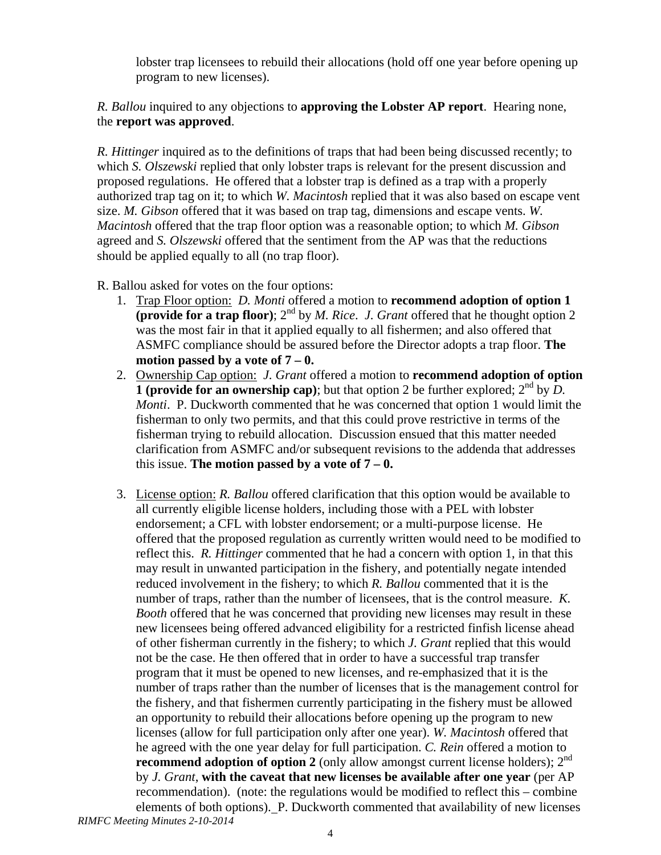lobster trap licensees to rebuild their allocations (hold off one year before opening up program to new licenses).

*R. Ballou* inquired to any objections to **approving the Lobster AP report**. Hearing none, the **report was approved**.

*R. Hittinger* inquired as to the definitions of traps that had been being discussed recently; to which *S. Olszewski* replied that only lobster traps is relevant for the present discussion and proposed regulations. He offered that a lobster trap is defined as a trap with a properly authorized trap tag on it; to which *W. Macintosh* replied that it was also based on escape vent size. *M. Gibson* offered that it was based on trap tag, dimensions and escape vents. *W. Macintosh* offered that the trap floor option was a reasonable option; to which *M. Gibson* agreed and *S. Olszewski* offered that the sentiment from the AP was that the reductions should be applied equally to all (no trap floor).

R. Ballou asked for votes on the four options:

- 1. Trap Floor option: *D. Monti* offered a motion to **recommend adoption of option 1 (provide for a trap floor)**;  $2^{nd}$  by *M. Rice. J. Grant* offered that he thought option 2 was the most fair in that it applied equally to all fishermen; and also offered that ASMFC compliance should be assured before the Director adopts a trap floor. **The motion passed by a vote of 7 – 0.**
- 2. Ownership Cap option: *J. Grant* offered a motion to **recommend adoption of option 1** (provide for an ownership cap); but that option 2 be further explored;  $2^{nd}$  by  $\overline{D}$ . *Monti*. P. Duckworth commented that he was concerned that option 1 would limit the fisherman to only two permits, and that this could prove restrictive in terms of the fisherman trying to rebuild allocation. Discussion ensued that this matter needed clarification from ASMFC and/or subsequent revisions to the addenda that addresses this issue. **The motion passed by a vote of**  $7 - 0$ **.**
- *RIMFC Meeting Minutes 2-10-2014*  3. License option: *R. Ballou* offered clarification that this option would be available to all currently eligible license holders, including those with a PEL with lobster endorsement; a CFL with lobster endorsement; or a multi-purpose license. He offered that the proposed regulation as currently written would need to be modified to reflect this. *R. Hittinger* commented that he had a concern with option 1, in that this may result in unwanted participation in the fishery, and potentially negate intended reduced involvement in the fishery; to which *R. Ballou* commented that it is the number of traps, rather than the number of licensees, that is the control measure. *K. Booth* offered that he was concerned that providing new licenses may result in these new licensees being offered advanced eligibility for a restricted finfish license ahead of other fisherman currently in the fishery; to which *J. Grant* replied that this would not be the case. He then offered that in order to have a successful trap transfer program that it must be opened to new licenses, and re-emphasized that it is the number of traps rather than the number of licenses that is the management control for the fishery, and that fishermen currently participating in the fishery must be allowed an opportunity to rebuild their allocations before opening up the program to new licenses (allow for full participation only after one year). *W. Macintosh* offered that he agreed with the one year delay for full participation. *C. Rein* offered a motion to **recommend adoption of option 2** (only allow amongst current license holders); 2<sup>nd</sup> by *J. Grant*, **with the caveat that new licenses be available after one year** (per AP recommendation). (note: the regulations would be modified to reflect this – combine elements of both options). P. Duckworth commented that availability of new licenses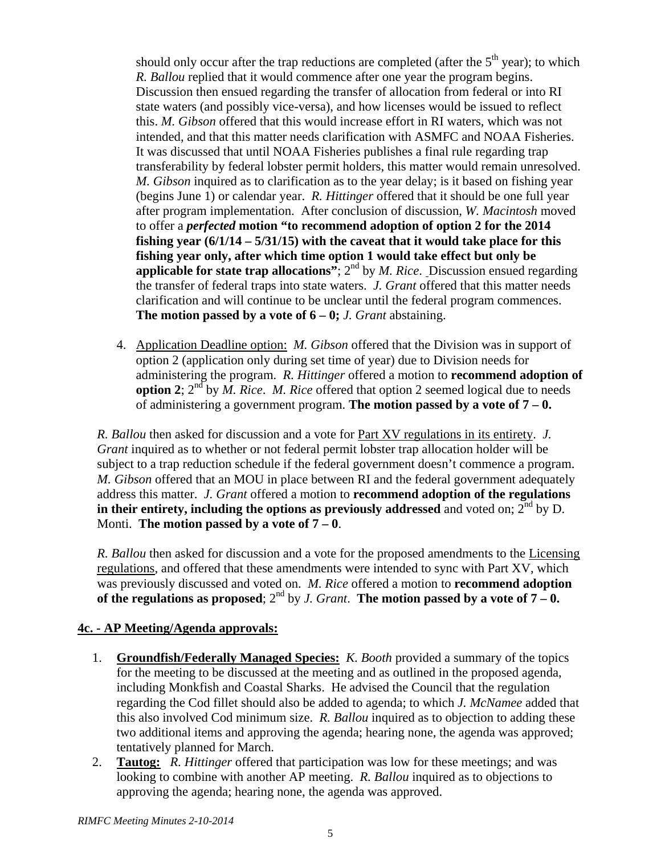should only occur after the trap reductions are completed (after the  $5<sup>th</sup>$  year); to which *R. Ballou* replied that it would commence after one year the program begins. Discussion then ensued regarding the transfer of allocation from federal or into RI state waters (and possibly vice-versa), and how licenses would be issued to reflect this. *M. Gibson* offered that this would increase effort in RI waters, which was not intended, and that this matter needs clarification with ASMFC and NOAA Fisheries. It was discussed that until NOAA Fisheries publishes a final rule regarding trap transferability by federal lobster permit holders, this matter would remain unresolved. *M. Gibson* inquired as to clarification as to the year delay; is it based on fishing year (begins June 1) or calendar year. *R. Hittinger* offered that it should be one full year after program implementation. After conclusion of discussion, *W. Macintosh* moved to offer a *perfected* **motion "to recommend adoption of option 2 for the 2014 fishing year (6/1/14 – 5/31/15) with the caveat that it would take place for this fishing year only, after which time option 1 would take effect but only be applicable for state trap allocations"**; 2nd by *M. Rice*. Discussion ensued regarding the transfer of federal traps into state waters. *J. Grant* offered that this matter needs clarification and will continue to be unclear until the federal program commences. **The motion passed by a vote of**  $6 - 0$ **;** *J. Grant* abstaining.

4. Application Deadline option: *M. Gibson* offered that the Division was in support of option 2 (application only during set time of year) due to Division needs for administering the program. *R. Hittinger* offered a motion to **recommend adoption of option 2**;  $2^{nd}$  by *M. Rice. M. Rice* offered that option 2 seemed logical due to needs of administering a government program. **The motion passed by a vote of 7 – 0.**

*R. Ballou* then asked for discussion and a vote for Part XV regulations in its entirety. *J. Grant* inquired as to whether or not federal permit lobster trap allocation holder will be subject to a trap reduction schedule if the federal government doesn't commence a program. *M. Gibson* offered that an MOU in place between RI and the federal government adequately address this matter. *J. Grant* offered a motion to **recommend adoption of the regulations in their entirety, including the options as previously addressed** and voted on;  $2^{nd}$  by D. Monti. **The motion passed by a vote of 7 – 0**.

*R. Ballou* then asked for discussion and a vote for the proposed amendments to the Licensing regulations, and offered that these amendments were intended to sync with Part XV, which was previously discussed and voted on. *M. Rice* offered a motion to **recommend adoption**  of the regulations as proposed;  $2^{nd}$  by *J. Grant*. The motion passed by a vote of  $7 - 0$ .

#### **4c. - AP Meeting/Agenda approvals:**

- 1. **Groundfish/Federally Managed Species:** *K. Booth* provided a summary of the topics for the meeting to be discussed at the meeting and as outlined in the proposed agenda, including Monkfish and Coastal Sharks. He advised the Council that the regulation regarding the Cod fillet should also be added to agenda; to which *J. McNamee* added that this also involved Cod minimum size. *R. Ballou* inquired as to objection to adding these two additional items and approving the agenda; hearing none, the agenda was approved; tentatively planned for March.
- 2. **Tautog:** *R. Hittinger* offered that participation was low for these meetings; and was looking to combine with another AP meeting. *R. Ballou* inquired as to objections to approving the agenda; hearing none, the agenda was approved.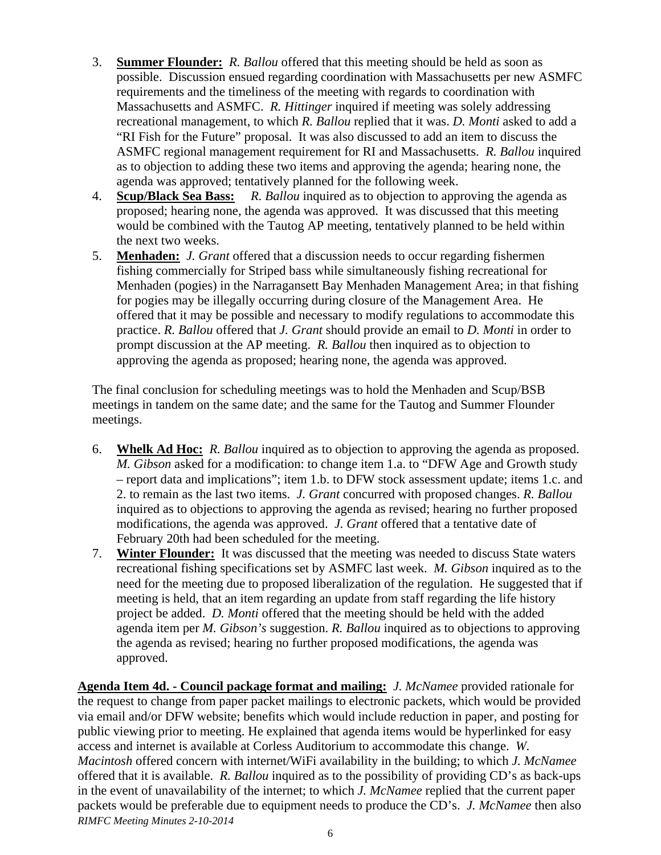- 3. **Summer Flounder:** *R. Ballou* offered that this meeting should be held as soon as possible. Discussion ensued regarding coordination with Massachusetts per new ASMFC requirements and the timeliness of the meeting with regards to coordination with Massachusetts and ASMFC. *R. Hittinger* inquired if meeting was solely addressing recreational management, to which *R. Ballou* replied that it was. *D. Monti* asked to add a "RI Fish for the Future" proposal. It was also discussed to add an item to discuss the ASMFC regional management requirement for RI and Massachusetts. *R. Ballou* inquired as to objection to adding these two items and approving the agenda; hearing none, the agenda was approved; tentatively planned for the following week.
- 4. **Scup/Black Sea Bass:** *R. Ballou* inquired as to objection to approving the agenda as proposed; hearing none, the agenda was approved. It was discussed that this meeting would be combined with the Tautog AP meeting, tentatively planned to be held within the next two weeks.
- 5. **Menhaden:** *J. Grant* offered that a discussion needs to occur regarding fishermen fishing commercially for Striped bass while simultaneously fishing recreational for Menhaden (pogies) in the Narragansett Bay Menhaden Management Area; in that fishing for pogies may be illegally occurring during closure of the Management Area. He offered that it may be possible and necessary to modify regulations to accommodate this practice. *R. Ballou* offered that *J. Grant* should provide an email to *D. Monti* in order to prompt discussion at the AP meeting. *R. Ballou* then inquired as to objection to approving the agenda as proposed; hearing none, the agenda was approved.

The final conclusion for scheduling meetings was to hold the Menhaden and Scup/BSB meetings in tandem on the same date; and the same for the Tautog and Summer Flounder meetings.

- 6. **Whelk Ad Hoc:** *R. Ballou* inquired as to objection to approving the agenda as proposed. *M. Gibson* asked for a modification: to change item 1.a. to "DFW Age and Growth study – report data and implications"; item 1.b. to DFW stock assessment update; items 1.c. and 2. to remain as the last two items. *J. Grant* concurred with proposed changes. *R. Ballou* inquired as to objections to approving the agenda as revised; hearing no further proposed modifications, the agenda was approved. *J. Grant* offered that a tentative date of February 20th had been scheduled for the meeting.
- 7. **Winter Flounder:** It was discussed that the meeting was needed to discuss State waters recreational fishing specifications set by ASMFC last week. *M. Gibson* inquired as to the need for the meeting due to proposed liberalization of the regulation. He suggested that if meeting is held, that an item regarding an update from staff regarding the life history project be added. *D. Monti* offered that the meeting should be held with the added agenda item per *M. Gibson's* suggestion. *R. Ballou* inquired as to objections to approving the agenda as revised; hearing no further proposed modifications, the agenda was approved.

*RIMFC Meeting Minutes 2-10-2014*  **Agenda Item 4d. - Council package format and mailing:** *J. McNamee* provided rationale for the request to change from paper packet mailings to electronic packets, which would be provided via email and/or DFW website; benefits which would include reduction in paper, and posting for public viewing prior to meeting. He explained that agenda items would be hyperlinked for easy access and internet is available at Corless Auditorium to accommodate this change. *W. Macintosh* offered concern with internet/WiFi availability in the building; to which *J. McNamee* offered that it is available. *R. Ballou* inquired as to the possibility of providing CD's as back-ups in the event of unavailability of the internet; to which *J. McNamee* replied that the current paper packets would be preferable due to equipment needs to produce the CD's. *J. McNamee* then also